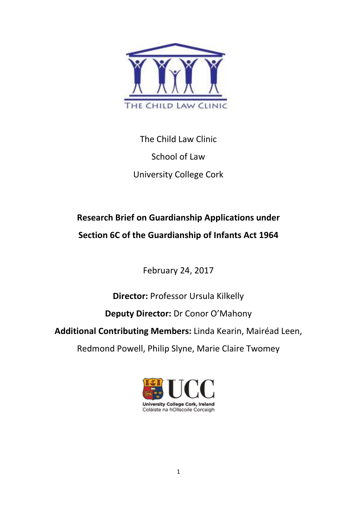

The Child Law Clinic School of Law University College Cork

# **Research Brief on Guardianship Applications under Section 6C of the Guardianship of Infants Act 1964**

February 24, 2017

**Director:** Professor Ursula Kilkelly

# **Deputy Director:** Dr Conor O'Mahony

**Additional Contributing Members:** Linda Kearin, Mairéad Leen,

Redmond Powell, Philip Slyne, Marie Claire Twomey

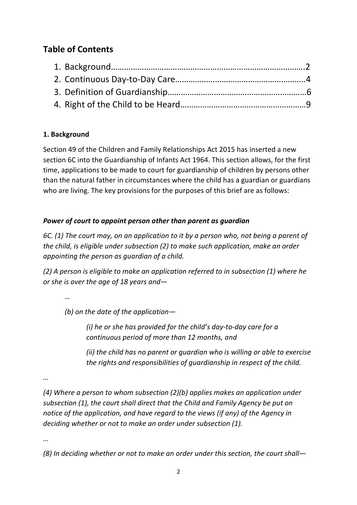# **Table of Contents**

# **1. Background**

Section 49 of the Children and Family Relationships Act 2015 has inserted a new section 6C into the Guardianship of Infants Act 1964. This section allows, for the first time, applications to be made to court for guardianship of children by persons other than the natural father in circumstances where the child has a guardian or guardians who are living. The key provisions for the purposes of this brief are as follows:

## *Power of court to appoint person other than parent as guardian*

*6C. (1) The court may, on an application to it by a person who, not being a parent of the child, is eligible under subsection (2) to make such application, make an order appointing the person as guardian of a child.* 

*(2) A person is eligible to make an application referred to in subsection (1) where he or she is over the age of 18 years and—* 

*…* 

*(b) on the date of the application—* 

*(i) he or she has provided for the child's day-to-day care for a continuous period of more than 12 months, and* 

*(ii) the child has no parent or guardian who is willing or able to exercise the rights and responsibilities of guardianship in respect of the child.* 

*…* 

*(4) Where a person to whom subsection (2)(b) applies makes an application under subsection (1), the court shall direct that the Child and Family Agency be put on notice of the application, and have regard to the views (if any) of the Agency in deciding whether or not to make an order under subsection (1).* 

*…* 

*(8) In deciding whether or not to make an order under this section, the court shall—*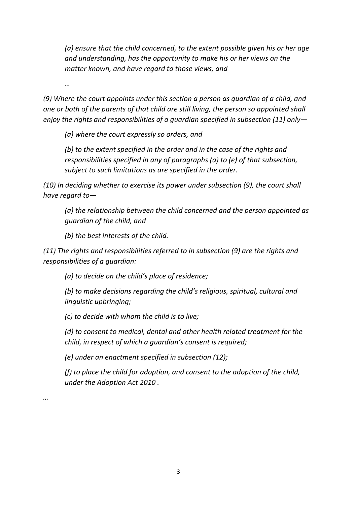*(a) ensure that the child concerned, to the extent possible given his or her age and understanding, has the opportunity to make his or her views on the matter known, and have regard to those views, and* 

*…* 

*…* 

*(9) Where the court appoints under this section a person as guardian of a child, and one or both of the parents of that child are still living, the person so appointed shall enjoy the rights and responsibilities of a guardian specified in subsection (11) only—* 

*(a) where the court expressly so orders, and* 

*(b) to the extent specified in the order and in the case of the rights and responsibilities specified in any of paragraphs (a) to (e) of that subsection, subject to such limitations as are specified in the order.* 

*(10) In deciding whether to exercise its power under subsection (9), the court shall have regard to—* 

*(a) the relationship between the child concerned and the person appointed as guardian of the child, and* 

*(b) the best interests of the child.* 

*(11) The rights and responsibilities referred to in subsection (9) are the rights and responsibilities of a guardian:* 

*(a) to decide on the child's place of residence;* 

*(b) to make decisions regarding the child's religious, spiritual, cultural and linguistic upbringing;* 

*(c) to decide with whom the child is to live;* 

*(d) to consent to medical, dental and other health related treatment for the child, in respect of which a guardian's consent is required;* 

*(e) under an enactment specified in subsection (12);* 

*(f) to place the child for adoption, and consent to the adoption of the child, under the Adoption Act 2010 .*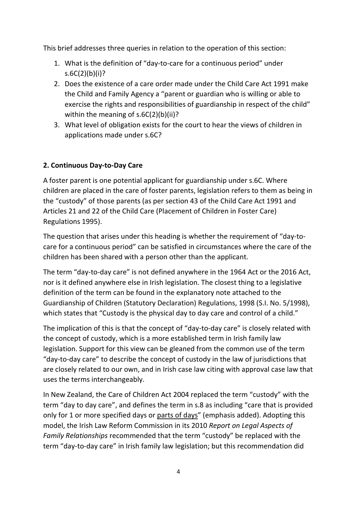This brief addresses three queries in relation to the operation of this section:

- 1. What is the definition of "day-to-care for a continuous period" under s.6C(2)(b)(i)?
- 2. Does the existence of a care order made under the Child Care Act 1991 make the Child and Family Agency a "parent or guardian who is willing or able to exercise the rights and responsibilities of guardianship in respect of the child" within the meaning of s.6C(2)(b)(ii)?
- 3. What level of obligation exists for the court to hear the views of children in applications made under s.6C?

## **2. Continuous Day-to-Day Care**

A foster parent is one potential applicant for guardianship under s.6C. Where children are placed in the care of foster parents, legislation refers to them as being in the "custody" of those parents (as per section 43 of the Child Care Act 1991 and Articles 21 and 22 of the Child Care (Placement of Children in Foster Care) Regulations 1995).

The question that arises under this heading is whether the requirement of "day-tocare for a continuous period" can be satisfied in circumstances where the care of the children has been shared with a person other than the applicant.

The term "day-to-day care" is not defined anywhere in the 1964 Act or the 2016 Act, nor is it defined anywhere else in Irish legislation. The closest thing to a legislative definition of the term can be found in the explanatory note attached to the Guardianship of Children (Statutory Declaration) Regulations, 1998 (S.I. No. 5/1998), which states that "Custody is the physical day to day care and control of a child."

The implication of this is that the concept of "day-to-day care" is closely related with the concept of custody, which is a more established term in Irish family law legislation. Support for this view can be gleaned from the common use of the term "day-to-day care" to describe the concept of custody in the law of jurisdictions that are closely related to our own, and in Irish case law citing with approval case law that uses the terms interchangeably.

In New Zealand, the Care of Children Act 2004 replaced the term "custody" with the term "day to day care", and defines the term in s.8 as including "care that is provided only for 1 or more specified days or parts of days" (emphasis added). Adopting this model, the Irish Law Reform Commission in its 2010 *Report on Legal Aspects of Family Relationships* recommended that the term "custody" be replaced with the term "day-to-day care" in Irish family law legislation; but this recommendation did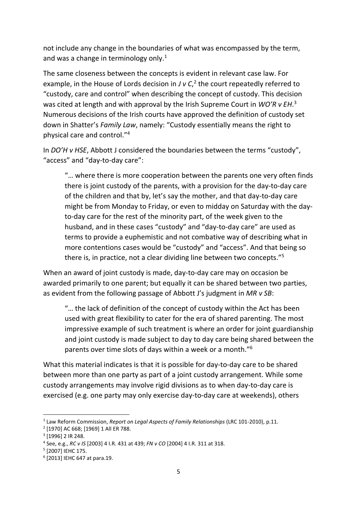not include any change in the boundaries of what was encompassed by the term, and was a change in terminology only. $1$ 

The same closeness between the concepts is evident in relevant case law. For example, in the House of Lords decision in  $J \vee C$ ,  $^2$  the court repeatedly referred to "custody, care and control" when describing the concept of custody. This decision was cited at length and with approval by the Irish Supreme Court in *WO'R v EH*. 3 Numerous decisions of the Irish courts have approved the definition of custody set down in Shatter's *Family Law*, namely: "Custody essentially means the right to physical care and control."<sup>4</sup>

In *DO'H v HSE*, Abbott J considered the boundaries between the terms "custody", "access" and "day-to-day care":

"… where there is more cooperation between the parents one very often finds there is joint custody of the parents, with a provision for the day-to-day care of the children and that by, let's say the mother, and that day-to-day care might be from Monday to Friday, or even to midday on Saturday with the dayto-day care for the rest of the minority part, of the week given to the husband, and in these cases "custody" and "day-to-day care" are used as terms to provide a euphemistic and not combative way of describing what in more contentions cases would be "custody" and "access". And that being so there is, in practice, not a clear dividing line between two concepts."<sup>5</sup>

When an award of joint custody is made, day-to-day care may on occasion be awarded primarily to one parent; but equally it can be shared between two parties, as evident from the following passage of Abbott J's judgment in *MR v SB*:

"… the lack of definition of the concept of custody within the Act has been used with great flexibility to cater for the era of shared parenting. The most impressive example of such treatment is where an order for joint guardianship and joint custody is made subject to day to day care being shared between the parents over time slots of days within a week or a month."<sup>6</sup>

What this material indicates is that it is possible for day-to-day care to be shared between more than one party as part of a joint custody arrangement. While some custody arrangements may involve rigid divisions as to when day-to-day care is exercised (e.g. one party may only exercise day-to-day care at weekends), others

-

<sup>1</sup> Law Reform Commission, *Report on Legal Aspects of Family Relationships* (LRC 101-2010), p.11.

<sup>2</sup> [1970] AC 668; [1969] 1 All ER 788.

<sup>&</sup>lt;sup>3</sup> [1996] 2 IR 248.

<sup>4</sup> See, e.g., *RC v IS* [2003] 4 I.R. 431 at 439; *FN v CO* [2004] 4 I.R. 311 at 318.

<sup>5</sup> [2007] IEHC 175.

<sup>6</sup> [2013] IEHC 647 at para.19.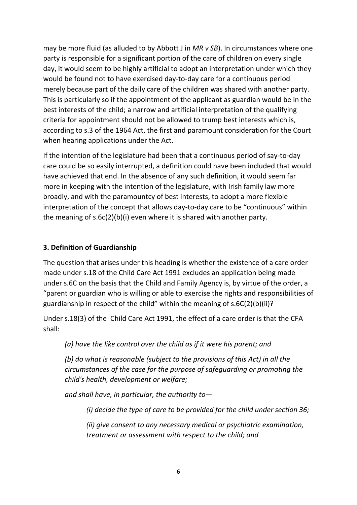may be more fluid (as alluded to by Abbott J in *MR v SB*). In circumstances where one party is responsible for a significant portion of the care of children on every single day, it would seem to be highly artificial to adopt an interpretation under which they would be found not to have exercised day-to-day care for a continuous period merely because part of the daily care of the children was shared with another party. This is particularly so if the appointment of the applicant as guardian would be in the best interests of the child; a narrow and artificial interpretation of the qualifying criteria for appointment should not be allowed to trump best interests which is, according to s.3 of the 1964 Act, the first and paramount consideration for the Court when hearing applications under the Act.

If the intention of the legislature had been that a continuous period of say-to-day care could be so easily interrupted, a definition could have been included that would have achieved that end. In the absence of any such definition, it would seem far more in keeping with the intention of the legislature, with Irish family law more broadly, and with the paramountcy of best interests, to adopt a more flexible interpretation of the concept that allows day-to-day care to be "continuous" within the meaning of s.6c(2)(b)(i) even where it is shared with another party.

#### **3. Definition of Guardianship**

The question that arises under this heading is whether the existence of a care order made under s.18 of the Child Care Act 1991 excludes an application being made under s.6C on the basis that the Child and Family Agency is, by virtue of the order, a "parent or guardian who is willing or able to exercise the rights and responsibilities of guardianship in respect of the child" within the meaning of s.6C(2)(b)(ii)?

Under s.18(3) of the Child Care Act 1991, the effect of a care order is that the CFA shall:

*(a) have the like control over the child as if it were his parent; and* 

*(b) do what is reasonable (subject to the provisions of this Act) in all the circumstances of the case for the purpose of safeguarding or promoting the child's health, development or welfare;* 

*and shall have, in particular, the authority to—* 

*(i) decide the type of care to be provided for the child under section 36;* 

*(ii) give consent to any necessary medical or psychiatric examination, treatment or assessment with respect to the child; and*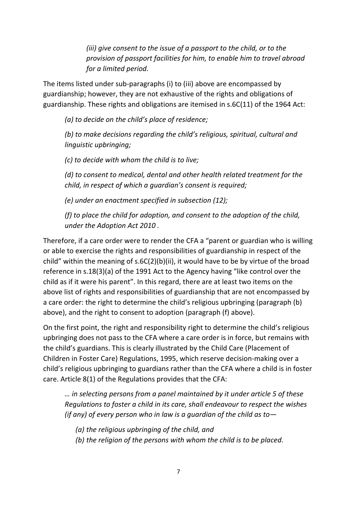*(iii) give consent to the issue of a passport to the child, or to the provision of passport facilities for him, to enable him to travel abroad for a limited period.* 

The items listed under sub-paragraphs (i) to (iii) above are encompassed by guardianship; however, they are not exhaustive of the rights and obligations of guardianship. These rights and obligations are itemised in s.6C(11) of the 1964 Act:

*(a) to decide on the child's place of residence;* 

*(b) to make decisions regarding the child's religious, spiritual, cultural and linguistic upbringing;* 

*(c) to decide with whom the child is to live;* 

*(d) to consent to medical, dental and other health related treatment for the child, in respect of which a guardian's consent is required;* 

*(e) under an enactment specified in subsection (12);* 

*(f) to place the child for adoption, and consent to the adoption of the child, under the Adoption Act 2010 .*

Therefore, if a care order were to render the CFA a "parent or guardian who is willing or able to exercise the rights and responsibilities of guardianship in respect of the child" within the meaning of s.6C(2)(b)(ii), it would have to be by virtue of the broad reference in s.18(3)(a) of the 1991 Act to the Agency having "like control over the child as if it were his parent". In this regard, there are at least two items on the above list of rights and responsibilities of guardianship that are not encompassed by a care order: the right to determine the child's religious upbringing (paragraph (b) above), and the right to consent to adoption (paragraph (f) above).

On the first point, the right and responsibility right to determine the child's religious upbringing does not pass to the CFA where a care order is in force, but remains with the child's guardians. This is clearly illustrated by the Child Care (Placement of Children in Foster Care) Regulations, 1995, which reserve decision-making over a child's religious upbringing to guardians rather than the CFA where a child is in foster care. Article 8(1) of the Regulations provides that the CFA:

*… in selecting persons from a panel maintained by it under article 5 of these Regulations to foster a child in its care, shall endeavour to respect the wishes (if any) of every person who in law is a guardian of the child as to—* 

*(a) the religious upbringing of the child, and* 

*(b) the religion of the persons with whom the child is to be placed.*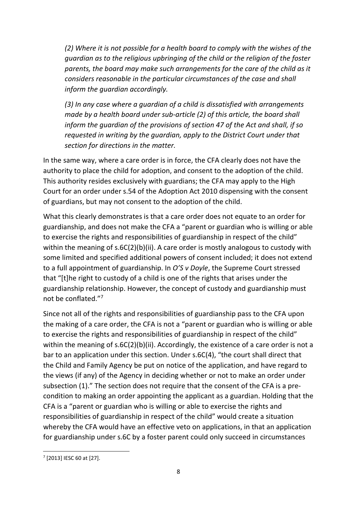*(2) Where it is not possible for a health board to comply with the wishes of the guardian as to the religious upbringing of the child or the religion of the foster parents, the board may make such arrangements for the care of the child as it considers reasonable in the particular circumstances of the case and shall inform the guardian accordingly.* 

*(3) In any case where a guardian of a child is dissatisfied with arrangements made by a health board under sub-article (2) of this article, the board shall inform the guardian of the provisions of section 47 of the Act and shall, if so requested in writing by the guardian, apply to the District Court under that section for directions in the matter.* 

In the same way, where a care order is in force, the CFA clearly does not have the authority to place the child for adoption, and consent to the adoption of the child. This authority resides exclusively with guardians; the CFA may apply to the High Court for an order under s.54 of the Adoption Act 2010 dispensing with the consent of guardians, but may not consent to the adoption of the child.

What this clearly demonstrates is that a care order does not equate to an order for guardianship, and does not make the CFA a "parent or guardian who is willing or able to exercise the rights and responsibilities of guardianship in respect of the child" within the meaning of s.6C(2)(b)(ii). A care order is mostly analogous to custody with some limited and specified additional powers of consent included; it does not extend to a full appointment of guardianship. In *O'S v Doyle*, the Supreme Court stressed that "[t]he right to custody of a child is one of the rights that arises under the guardianship relationship. However, the concept of custody and guardianship must not be conflated."<sup>7</sup>

Since not all of the rights and responsibilities of guardianship pass to the CFA upon the making of a care order, the CFA is not a "parent or guardian who is willing or able to exercise the rights and responsibilities of guardianship in respect of the child" within the meaning of s.6C(2)(b)(ii). Accordingly, the existence of a care order is not a bar to an application under this section. Under s.6C(4), "the court shall direct that the Child and Family Agency be put on notice of the application, and have regard to the views (if any) of the Agency in deciding whether or not to make an order under subsection (1)." The section does not require that the consent of the CFA is a precondition to making an order appointing the applicant as a guardian. Holding that the CFA is a "parent or guardian who is willing or able to exercise the rights and responsibilities of guardianship in respect of the child" would create a situation whereby the CFA would have an effective veto on applications, in that an application for guardianship under s.6C by a foster parent could only succeed in circumstances

-

 $7$  [2013] IESC 60 at [27].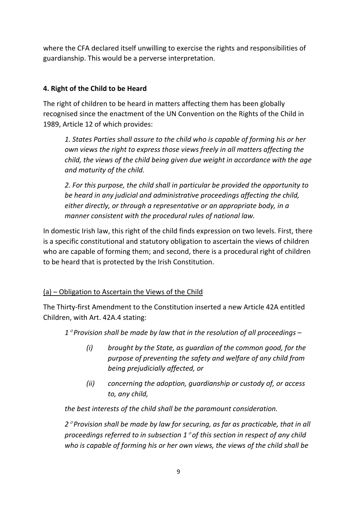where the CFA declared itself unwilling to exercise the rights and responsibilities of guardianship. This would be a perverse interpretation.

# **4. Right of the Child to be Heard**

The right of children to be heard in matters affecting them has been globally recognised since the enactment of the UN Convention on the Rights of the Child in 1989, Article 12 of which provides:

*1. States Parties shall assure to the child who is capable of forming his or her own views the right to express those views freely in all matters affecting the child, the views of the child being given due weight in accordance with the age and maturity of the child.* 

*2. For this purpose, the child shall in particular be provided the opportunity to be heard in any judicial and administrative proceedings affecting the child, either directly, or through a representative or an appropriate body, in a manner consistent with the procedural rules of national law.* 

In domestic Irish law, this right of the child finds expression on two levels. First, there is a specific constitutional and statutory obligation to ascertain the views of children who are capable of forming them; and second, there is a procedural right of children to be heard that is protected by the Irish Constitution.

# (a) – Obligation to Ascertain the Views of the Child

The Thirty-first Amendment to the Constitution inserted a new Article 42A entitled Children, with Art. 42A.4 stating:

*1*° *Provision shall be made by law that in the resolution of all proceedings –* 

- *(i) brought by the State, as guardian of the common good, for the purpose of preventing the safety and welfare of any child from being prejudicially affected, or*
- *(ii) concerning the adoption, guardianship or custody of, or access to, any child,*

*the best interests of the child shall be the paramount consideration.* 

*2*° *Provision shall be made by law for securing, as far as practicable, that in all proceedings referred to in subsection 1*° *of this section in respect of any child who is capable of forming his or her own views, the views of the child shall be*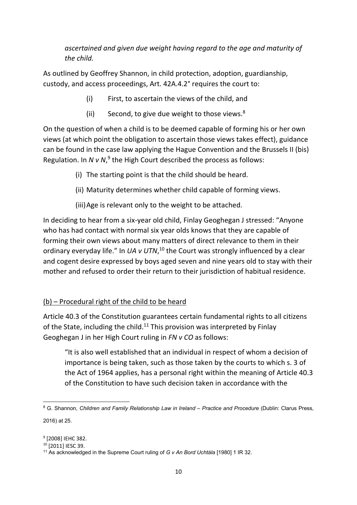*ascertained and given due weight having regard to the age and maturity of the child.* 

As outlined by Geoffrey Shannon, in child protection, adoption, guardianship, custody, and access proceedings, Art. 42A.4.2° requires the court to:

- (i) First, to ascertain the views of the child, and
- (ii) Second, to give due weight to those views.<sup>8</sup>

On the question of when a child is to be deemed capable of forming his or her own views (at which point the obligation to ascertain those views takes effect), guidance can be found in the case law applying the Hague Convention and the Brussels II (bis) Regulation. In  $N$  v  $N$ ,<sup>9</sup> the High Court described the process as follows:

- (i) The starting point is that the child should be heard.
- (ii) Maturity determines whether child capable of forming views.
- (iii)Age is relevant only to the weight to be attached.

In deciding to hear from a six-year old child, Finlay Geoghegan J stressed: "Anyone who has had contact with normal six year olds knows that they are capable of forming their own views about many matters of direct relevance to them in their ordinary everyday life." In UA v UTN,<sup>10</sup> the Court was strongly influenced by a clear and cogent desire expressed by boys aged seven and nine years old to stay with their mother and refused to order their return to their jurisdiction of habitual residence.

## (b) – Procedural right of the child to be heard

Article 40.3 of the Constitution guarantees certain fundamental rights to all citizens of the State, including the child.<sup>11</sup> This provision was interpreted by Finlay Geoghegan J in her High Court ruling in *FN v CO* as follows:

"It is also well established that an individual in respect of whom a decision of importance is being taken, such as those taken by the courts to which s. 3 of the Act of 1964 applies, has a personal right within the meaning of Article 40.3 of the Constitution to have such decision taken in accordance with the

-

<sup>&</sup>lt;sup>8</sup> G. Shannon, *Children and Family Relationship Law in Ireland – Practice and Procedure* (Dublin: Clarus Press, 2016) at 25.

<sup>&</sup>lt;sup>9</sup> [2008] IEHC 382.

<sup>10</sup> [2011] IESC 39.

<sup>11</sup> As acknowledged in the Supreme Court ruling of *G v An Bord Uchtála* [1980] 1 IR 32.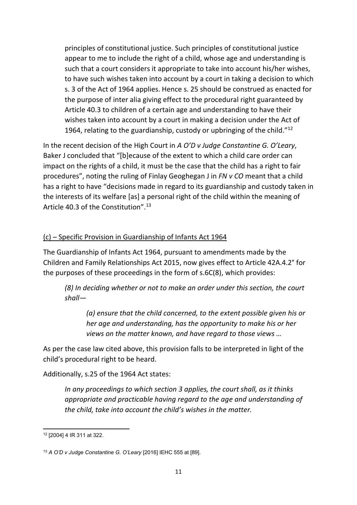principles of constitutional justice. Such principles of constitutional justice appear to me to include the right of a child, whose age and understanding is such that a court considers it appropriate to take into account his/her wishes, to have such wishes taken into account by a court in taking a decision to which s. 3 of the Act of 1964 applies. Hence s. 25 should be construed as enacted for the purpose of inter alia giving effect to the procedural right guaranteed by Article 40.3 to children of a certain age and understanding to have their wishes taken into account by a court in making a decision under the Act of 1964, relating to the guardianship, custody or upbringing of the child."<sup>12</sup>

In the recent decision of the High Court in *A O'D v Judge Constantine G. O'Leary*, Baker J concluded that "[b]ecause of the extent to which a child care order can impact on the rights of a child, it must be the case that the child has a right to fair procedures", noting the ruling of Finlay Geoghegan J in *FN v CO* meant that a child has a right to have "decisions made in regard to its guardianship and custody taken in the interests of its welfare [as] a personal right of the child within the meaning of Article 40.3 of the Constitution".<sup>13</sup>

#### (c) – Specific Provision in Guardianship of Infants Act 1964

The Guardianship of Infants Act 1964, pursuant to amendments made by the Children and Family Relationships Act 2015, now gives effect to Article 42A.4.2° for the purposes of these proceedings in the form of s.6C(8), which provides:

*(8) In deciding whether or not to make an order under this section, the court shall—* 

*(a) ensure that the child concerned, to the extent possible given his or her age and understanding, has the opportunity to make his or her views on the matter known, and have regard to those views …* 

As per the case law cited above, this provision falls to be interpreted in light of the child's procedural right to be heard.

Additionally, s.25 of the 1964 Act states:

*In any proceedings to which section 3 applies, the court shall, as it thinks appropriate and practicable having regard to the age and understanding of the child, take into account the child's wishes in the matter.* 

<sup>&</sup>lt;u>.</u> <sup>12</sup> [2004] 4 IR 311 at 322.

<sup>13</sup> *A O'D v Judge Constantine G. O'Leary* [2016] IEHC 555 at [89].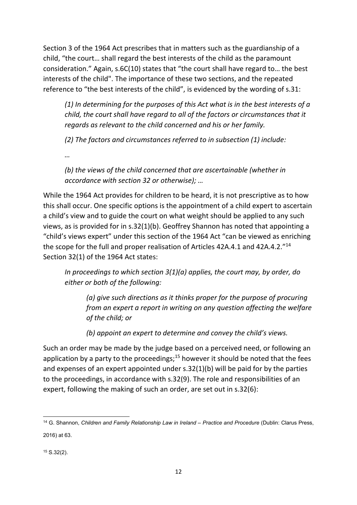Section 3 of the 1964 Act prescribes that in matters such as the guardianship of a child, "the court… shall regard the best interests of the child as the paramount consideration." Again, s.6C(10) states that "the court shall have regard to… the best interests of the child". The importance of these two sections, and the repeated reference to "the best interests of the child", is evidenced by the wording of s.31:

*(1) In determining for the purposes of this Act what is in the best interests of a child, the court shall have regard to all of the factors or circumstances that it regards as relevant to the child concerned and his or her family.* 

*(2) The factors and circumstances referred to in subsection (1) include:* 

*…* 

*(b) the views of the child concerned that are ascertainable (whether in accordance with section 32 or otherwise); …* 

While the 1964 Act provides for children to be heard, it is not prescriptive as to how this shall occur. One specific options is the appointment of a child expert to ascertain a child's view and to guide the court on what weight should be applied to any such views, as is provided for in s.32(1)(b). Geoffrey Shannon has noted that appointing a "child's views expert" under this section of the 1964 Act "can be viewed as enriching the scope for the full and proper realisation of Articles 42A.4.1 and 42A.4.2."<sup>14</sup> Section 32(1) of the 1964 Act states:

*In proceedings to which section 3(1)(a) applies, the court may, by order, do either or both of the following:* 

*(a) give such directions as it thinks proper for the purpose of procuring from an expert a report in writing on any question affecting the welfare of the child; or* 

*(b) appoint an expert to determine and convey the child's views.* 

Such an order may be made by the judge based on a perceived need, or following an application by a party to the proceedings;<sup>15</sup> however it should be noted that the fees and expenses of an expert appointed under s.32(1)(b) will be paid for by the parties to the proceedings, in accordance with s.32(9). The role and responsibilities of an expert, following the making of such an order, are set out in s.32(6):

<sup>&</sup>lt;u>.</u> <sup>14</sup> G. Shannon, *Children and Family Relationship Law in Ireland – Practice and Procedure* (Dublin: Clarus Press, 2016) at 63.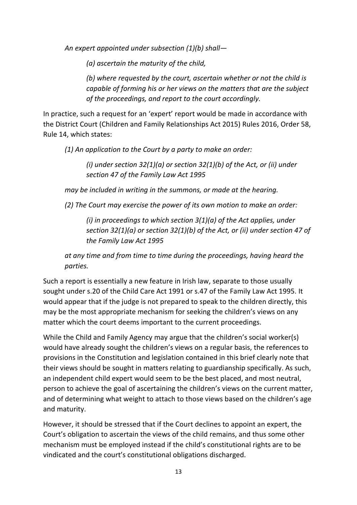*An expert appointed under subsection (1)(b) shall—* 

*(a) ascertain the maturity of the child,* 

*(b) where requested by the court, ascertain whether or not the child is capable of forming his or her views on the matters that are the subject of the proceedings, and report to the court accordingly.* 

In practice, such a request for an 'expert' report would be made in accordance with the District Court (Children and Family Relationships Act 2015) Rules 2016, Order 58, Rule 14, which states:

*(1) An application to the Court by a party to make an order:* 

*(i) under section 32(1)(a) or section 32(1)(b) of the Act, or (ii) under section 47 of the Family Law Act 1995* 

*may be included in writing in the summons, or made at the hearing.* 

*(2) The Court may exercise the power of its own motion to make an order:* 

*(i) in proceedings to which section 3(1)(a) of the Act applies, under section 32(1)(a) or section 32(1)(b) of the Act, or (ii) under section 47 of the Family Law Act 1995* 

*at any time and from time to time during the proceedings, having heard the parties.* 

Such a report is essentially a new feature in Irish law, separate to those usually sought under s.20 of the Child Care Act 1991 or s.47 of the Family Law Act 1995. It would appear that if the judge is not prepared to speak to the children directly, this may be the most appropriate mechanism for seeking the children's views on any matter which the court deems important to the current proceedings.

While the Child and Family Agency may argue that the children's social worker(s) would have already sought the children's views on a regular basis, the references to provisions in the Constitution and legislation contained in this brief clearly note that their views should be sought in matters relating to guardianship specifically. As such, an independent child expert would seem to be the best placed, and most neutral, person to achieve the goal of ascertaining the children's views on the current matter, and of determining what weight to attach to those views based on the children's age and maturity.

However, it should be stressed that if the Court declines to appoint an expert, the Court's obligation to ascertain the views of the child remains, and thus some other mechanism must be employed instead if the child's constitutional rights are to be vindicated and the court's constitutional obligations discharged.